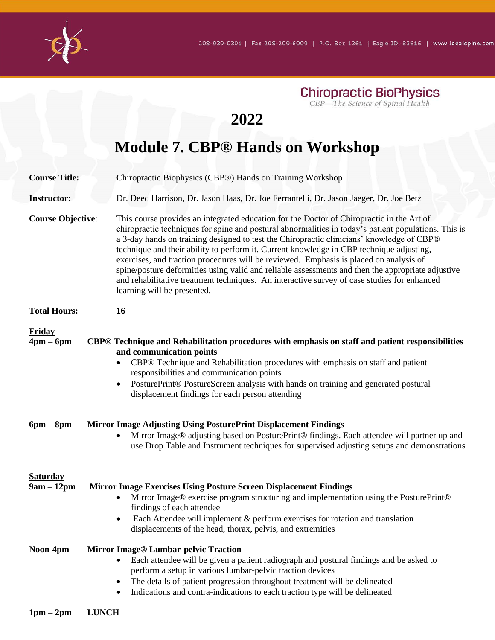

# **2022**

# **Module 7. CBP® Hands on Workshop**

| <b>Course Title:</b>            | Chiropractic Biophysics (CBP®) Hands on Training Workshop                                                                                                                                                                                                                                                                                                                                                                                                                                                                                                                                                                                                                                                               |
|---------------------------------|-------------------------------------------------------------------------------------------------------------------------------------------------------------------------------------------------------------------------------------------------------------------------------------------------------------------------------------------------------------------------------------------------------------------------------------------------------------------------------------------------------------------------------------------------------------------------------------------------------------------------------------------------------------------------------------------------------------------------|
| <b>Instructor:</b>              | Dr. Deed Harrison, Dr. Jason Haas, Dr. Joe Ferrantelli, Dr. Jason Jaeger, Dr. Joe Betz                                                                                                                                                                                                                                                                                                                                                                                                                                                                                                                                                                                                                                  |
| <b>Course Objective:</b>        | This course provides an integrated education for the Doctor of Chiropractic in the Art of<br>chiropractic techniques for spine and postural abnormalities in today's patient populations. This is<br>a 3-day hands on training designed to test the Chiropractic clinicians' knowledge of CBP®<br>technique and their ability to perform it. Current knowledge in CBP technique adjusting,<br>exercises, and traction procedures will be reviewed. Emphasis is placed on analysis of<br>spine/posture deformities using valid and reliable assessments and then the appropriate adjustive<br>and rehabilitative treatment techniques. An interactive survey of case studies for enhanced<br>learning will be presented. |
| <b>Total Hours:</b>             | 16                                                                                                                                                                                                                                                                                                                                                                                                                                                                                                                                                                                                                                                                                                                      |
| <b>Friday</b><br>$4pm-6pm$      | CBP® Technique and Rehabilitation procedures with emphasis on staff and patient responsibilities<br>and communication points<br>CBP® Technique and Rehabilitation procedures with emphasis on staff and patient<br>responsibilities and communication points<br>PosturePrint® PostureScreen analysis with hands on training and generated postural<br>٠<br>displacement findings for each person attending                                                                                                                                                                                                                                                                                                              |
| $6pm - 8pm$                     | <b>Mirror Image Adjusting Using PosturePrint Displacement Findings</b><br>Mirror Image® adjusting based on PosturePrint® findings. Each attendee will partner up and<br>use Drop Table and Instrument techniques for supervised adjusting setups and demonstrations                                                                                                                                                                                                                                                                                                                                                                                                                                                     |
| <b>Saturday</b><br>$9am - 12pm$ | <b>Mirror Image Exercises Using Posture Screen Displacement Findings</b><br>Mirror Image® exercise program structuring and implementation using the PosturePrint®<br>٠<br>findings of each attendee<br>Each Attendee will implement & perform exercises for rotation and translation<br>displacements of the head, thorax, pelvis, and extremities                                                                                                                                                                                                                                                                                                                                                                      |
| Noon-4pm                        | Mirror Image® Lumbar-pelvic Traction<br>Each attendee will be given a patient radiograph and postural findings and be asked to<br>$\bullet$<br>perform a setup in various lumbar-pelvic traction devices<br>The details of patient progression throughout treatment will be delineated<br>$\bullet$<br>Indications and contra-indications to each traction type will be delineated<br>$\bullet$                                                                                                                                                                                                                                                                                                                         |
| $1pm-2pm$                       | <b>LUNCH</b>                                                                                                                                                                                                                                                                                                                                                                                                                                                                                                                                                                                                                                                                                                            |